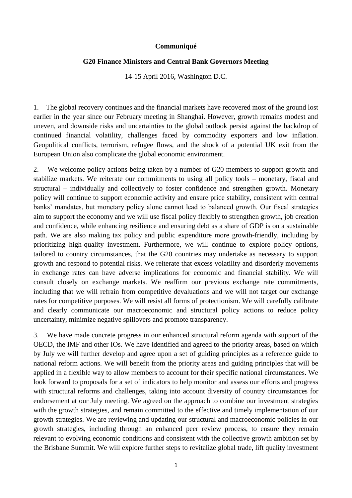## **Communiqué**

## **G20 Finance Ministers and Central Bank Governors Meeting**

14-15 April 2016, Washington D.C.

1. The global recovery continues and the financial markets have recovered most of the ground lost earlier in the year since our February meeting in Shanghai. However, growth remains modest and uneven, and downside risks and uncertainties to the global outlook persist against the backdrop of continued financial volatility, challenges faced by commodity exporters and low inflation. Geopolitical conflicts, terrorism, refugee flows, and the shock of a potential UK exit from the European Union also complicate the global economic environment.

2. We welcome policy actions being taken by a number of G20 members to support growth and stabilize markets. We reiterate our commitments to using all policy tools – monetary, fiscal and structural – individually and collectively to foster confidence and strengthen growth. Monetary policy will continue to support economic activity and ensure price stability, consistent with central banks' mandates, but monetary policy alone cannot lead to balanced growth. Our fiscal strategies aim to support the economy and we will use fiscal policy flexibly to strengthen growth, job creation and confidence, while enhancing resilience and ensuring debt as a share of GDP is on a sustainable path. We are also making tax policy and public expenditure more growth-friendly, including by prioritizing high-quality investment. Furthermore, we will continue to explore policy options, tailored to country circumstances, that the G20 countries may undertake as necessary to support growth and respond to potential risks. We reiterate that excess volatility and disorderly movements in exchange rates can have adverse implications for economic and financial stability. We will consult closely on exchange markets. We reaffirm our previous exchange rate commitments, including that we will refrain from competitive devaluations and we will not target our exchange rates for competitive purposes. We will resist all forms of protectionism. We will carefully calibrate and clearly communicate our macroeconomic and structural policy actions to reduce policy uncertainty, minimize negative spillovers and promote transparency.

3. We have made concrete progress in our enhanced structural reform agenda with support of the OECD, the IMF and other IOs. We have identified and agreed to the priority areas, based on which by July we will further develop and agree upon a set of guiding principles as a reference guide to national reform actions. We will benefit from the priority areas and guiding principles that will be applied in a flexible way to allow members to account for their specific national circumstances. We look forward to proposals for a set of indicators to help monitor and assess our efforts and progress with structural reforms and challenges, taking into account diversity of country circumstances for endorsement at our July meeting. We agreed on the approach to combine our investment strategies with the growth strategies, and remain committed to the effective and timely implementation of our growth strategies. We are reviewing and updating our structural and macroeconomic policies in our growth strategies, including through an enhanced peer review process, to ensure they remain relevant to evolving economic conditions and consistent with the collective growth ambition set by the Brisbane Summit. We will explore further steps to revitalize global trade, lift quality investment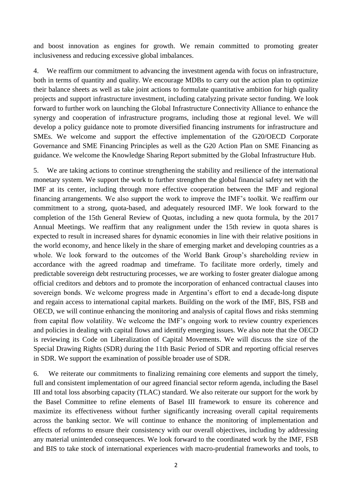and boost innovation as engines for growth. We remain committed to promoting greater inclusiveness and reducing excessive global imbalances.

4. We reaffirm our commitment to advancing the investment agenda with focus on infrastructure, both in terms of quantity and quality. We encourage MDBs to carry out the action plan to optimize their balance sheets as well as take joint actions to formulate quantitative ambition for high quality projects and support infrastructure investment, including catalyzing private sector funding. We look forward to further work on launching the Global Infrastructure Connectivity Alliance to enhance the synergy and cooperation of infrastructure programs, including those at regional level. We will develop a policy guidance note to promote diversified financing instruments for infrastructure and SMEs. We welcome and support the effective implementation of the G20/OECD Corporate Governance and SME Financing Principles as well as the G20 Action Plan on SME Financing as guidance. We welcome the Knowledge Sharing Report submitted by the Global Infrastructure Hub.

5. We are taking actions to continue strengthening the stability and resilience of the international monetary system. We support the work to further strengthen the global financial safety net with the IMF at its center, including through more effective cooperation between the IMF and regional financing arrangements. We also support the work to improve the IMF's toolkit. We reaffirm our commitment to a strong, quota-based, and adequately resourced IMF. We look forward to the completion of the 15th General Review of Quotas, including a new quota formula, by the 2017 Annual Meetings. We reaffirm that any realignment under the 15th review in quota shares is expected to result in increased shares for dynamic economies in line with their relative positions in the world economy, and hence likely in the share of emerging market and developing countries as a whole. We look forward to the outcomes of the World Bank Group's shareholding review in accordance with the agreed roadmap and timeframe. To facilitate more orderly, timely and predictable sovereign debt restructuring processes, we are working to foster greater dialogue among official creditors and debtors and to promote the incorporation of enhanced contractual clauses into sovereign bonds. We welcome progress made in Argentina's effort to end a decade-long dispute and regain access to international capital markets. Building on the work of the IMF, BIS, FSB and OECD, we will continue enhancing the monitoring and analysis of capital flows and risks stemming from capital flow volatility. We welcome the IMF's ongoing work to review country experiences and policies in dealing with capital flows and identify emerging issues. We also note that the OECD is reviewing its Code on Liberalization of Capital Movements. We will discuss the size of the Special Drawing Rights (SDR) during the 11th Basic Period of SDR and reporting official reserves in SDR. We support the examination of possible broader use of SDR.

6. We reiterate our commitments to finalizing remaining core elements and support the timely, full and consistent implementation of our agreed financial sector reform agenda, including the Basel III and total loss absorbing capacity (TLAC) standard. We also reiterate our support for the work by the Basel Committee to refine elements of Basel III framework to ensure its coherence and maximize its effectiveness without further significantly increasing overall capital requirements across the banking sector. We will continue to enhance the monitoring of implementation and effects of reforms to ensure their consistency with our overall objectives, including by addressing any material unintended consequences. We look forward to the coordinated work by the IMF, FSB and BIS to take stock of international experiences with macro-prudential frameworks and tools, to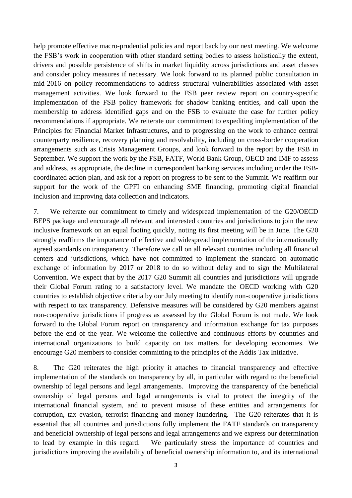help promote effective macro-prudential policies and report back by our next meeting. We welcome the FSB's work in cooperation with other standard setting bodies to assess holistically the extent, drivers and possible persistence of shifts in market liquidity across jurisdictions and asset classes and consider policy measures if necessary. We look forward to its planned public consultation in mid-2016 on policy recommendations to address structural vulnerabilities associated with asset management activities. We look forward to the FSB peer review report on country-specific implementation of the FSB policy framework for shadow banking entities, and call upon the membership to address identified gaps and on the FSB to evaluate the case for further policy recommendations if appropriate. We reiterate our commitment to expediting implementation of the Principles for Financial Market Infrastructures, and to progressing on the work to enhance central counterparty resilience, recovery planning and resolvability, including on cross-border cooperation arrangements such as Crisis Management Groups, and look forward to the report by the FSB in September. We support the work by the FSB, FATF, World Bank Group, OECD and IMF to assess and address, as appropriate, the decline in correspondent banking services including under the FSBcoordinated action plan, and ask for a report on progress to be sent to the Summit. We reaffirm our support for the work of the GPFI on enhancing SME financing, promoting digital financial inclusion and improving data collection and indicators.

7. We reiterate our commitment to timely and widespread implementation of the G20/OECD BEPS package and encourage all relevant and interested countries and jurisdictions to join the new inclusive framework on an equal footing quickly, noting its first meeting will be in June. The G20 strongly reaffirms the importance of effective and widespread implementation of the internationally agreed standards on transparency. Therefore we call on all relevant countries including all financial centers and jurisdictions, which have not committed to implement the standard on automatic exchange of information by 2017 or 2018 to do so without delay and to sign the Multilateral Convention. We expect that by the 2017 G20 Summit all countries and jurisdictions will upgrade their Global Forum rating to a satisfactory level. We mandate the OECD working with G20 countries to establish objective criteria by our July meeting to identify non-cooperative jurisdictions with respect to tax transparency. Defensive measures will be considered by G20 members against non-cooperative jurisdictions if progress as assessed by the Global Forum is not made. We look forward to the Global Forum report on transparency and information exchange for tax purposes before the end of the year. We welcome the collective and continuous efforts by countries and international organizations to build capacity on tax matters for developing economies. We encourage G20 members to consider committing to the principles of the Addis Tax Initiative.

8. The G20 reiterates the high priority it attaches to financial transparency and effective implementation of the standards on transparency by all, in particular with regard to the beneficial ownership of legal persons and legal arrangements. Improving the transparency of the beneficial ownership of legal persons and legal arrangements is vital to protect the integrity of the international financial system, and to prevent misuse of these entities and arrangements for corruption, tax evasion, terrorist financing and money laundering. The G20 reiterates that it is essential that all countries and jurisdictions fully implement the FATF standards on transparency and beneficial ownership of legal persons and legal arrangements and we express our determination to lead by example in this regard. We particularly stress the importance of countries and jurisdictions improving the availability of beneficial ownership information to, and its international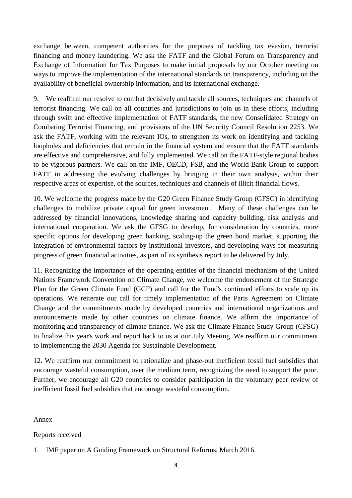exchange between, competent authorities for the purposes of tackling tax evasion, terrorist financing and money laundering. We ask the FATF and the Global Forum on Transparency and Exchange of Information for Tax Purposes to make initial proposals by our October meeting on ways to improve the implementation of the international standards on transparency, including on the availability of beneficial ownership information, and its international exchange.

9. We reaffirm our resolve to combat decisively and tackle all sources, techniques and channels of terrorist financing. We call on all countries and jurisdictions to join us in these efforts, including through swift and effective implementation of FATF standards, the new Consolidated Strategy on Combating Terrorist Financing, and provisions of the UN Security Council Resolution 2253. We ask the FATF, working with the relevant IOs, to strengthen its work on identifying and tackling loopholes and deficiencies that remain in the financial system and ensure that the FATF standards are effective and comprehensive, and fully implemented. We call on the FATF-style regional bodies to be vigorous partners. We call on the IMF, OECD, FSB, and the World Bank Group to support FATF in addressing the evolving challenges by bringing in their own analysis, within their respective areas of expertise, of the sources, techniques and channels of illicit financial flows.

10. We welcome the progress made by the G20 Green Finance Study Group (GFSG) in identifying challenges to mobilize private capital for green investment. Many of these challenges can be addressed by financial innovations, knowledge sharing and capacity building, risk analysis and international cooperation. We ask the GFSG to develop, for consideration by countries, more specific options for developing green banking, scaling-up the green bond market, supporting the integration of environmental factors by institutional investors, and developing ways for measuring progress of green financial activities, as part of its synthesis report to be delivered by July.

11. Recognizing the importance of the operating entities of the financial mechanism of the United Nations Framework Convention on Climate Change, we welcome the endorsement of the Strategic Plan for the Green Climate Fund (GCF) and call for the Fund's continued efforts to scale up its operations. We reiterate our call for timely implementation of the Paris Agreement on Climate Change and the commitments made by developed countries and international organizations and announcements made by other countries on climate finance. We affirm the importance of monitoring and transparency of climate finance. We ask the Climate Finance Study Group (CFSG) to finalize this year's work and report back to us at our July Meeting. We reaffirm our commitment to implementing the 2030 Agenda for Sustainable Development.

12. We reaffirm our commitment to rationalize and phase-out inefficient fossil fuel subsidies that encourage wasteful consumption, over the medium term, recognizing the need to support the poor. Further, we encourage all G20 countries to consider participation in the voluntary peer review of inefficient fossil fuel subsidies that encourage wasteful consumption.

Annex

Reports received

<sup>1.</sup> IMF paper on A Guiding Framework on Structural Reforms, March 2016.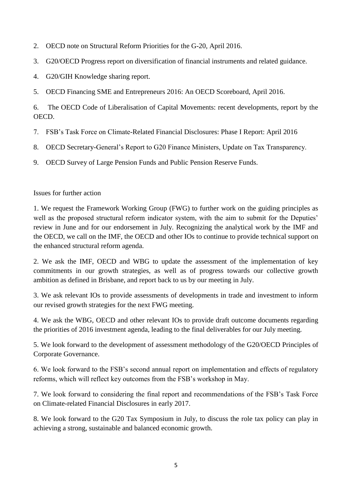- 2. OECD note on Structural Reform Priorities for the G-20, April 2016.
- 3. G20/OECD Progress report on diversification of financial instruments and related guidance.
- 4. G20/GIH Knowledge sharing report.
- 5. OECD Financing SME and Entrepreneurs 2016: An OECD Scoreboard, April 2016.

6. The OECD Code of Liberalisation of Capital Movements: recent developments, report by the OECD.

- 7. FSB's Task Force on Climate-Related Financial Disclosures: Phase I Report: April 2016
- 8. OECD Secretary-General's Report to G20 Finance Ministers, Update on Tax Transparency.
- 9. OECD Survey of Large Pension Funds and Public Pension Reserve Funds.

## Issues for further action

1. We request the Framework Working Group (FWG) to further work on the guiding principles as well as the proposed structural reform indicator system, with the aim to submit for the Deputies' review in June and for our endorsement in July. Recognizing the analytical work by the IMF and the OECD, we call on the IMF, the OECD and other IOs to continue to provide technical support on the enhanced structural reform agenda.

2. We ask the IMF, OECD and WBG to update the assessment of the implementation of key commitments in our growth strategies, as well as of progress towards our collective growth ambition as defined in Brisbane, and report back to us by our meeting in July.

3. We ask relevant IOs to provide assessments of developments in trade and investment to inform our revised growth strategies for the next FWG meeting.

4. We ask the WBG, OECD and other relevant IOs to provide draft outcome documents regarding the priorities of 2016 investment agenda, leading to the final deliverables for our July meeting.

5. We look forward to the development of assessment methodology of the G20/OECD Principles of Corporate Governance.

6. We look forward to the FSB's second annual report on implementation and effects of regulatory reforms, which will reflect key outcomes from the FSB's workshop in May.

7. We look forward to considering the final report and recommendations of the FSB's Task Force on Climate-related Financial Disclosures in early 2017.

8. We look forward to the G20 Tax Symposium in July, to discuss the role tax policy can play in achieving a strong, sustainable and balanced economic growth.